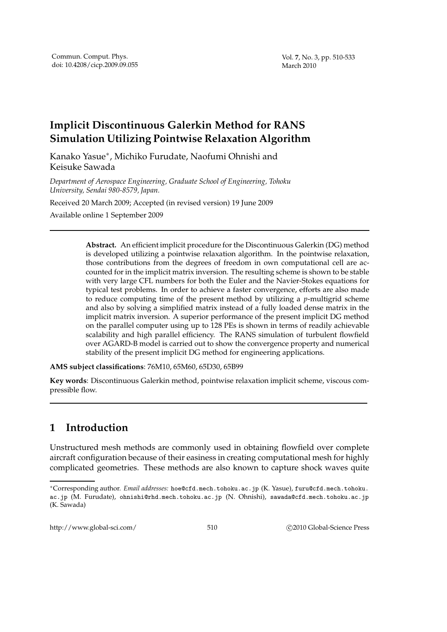## **Implicit Discontinuous Galerkin Method for RANS Simulation Utilizing Pointwise Relaxation Algorithm**

Kanako Yasue<sup>∗</sup> , Michiko Furudate, Naofumi Ohnishi and Keisuke Sawada

*Department of Aerospace Engineering, Graduate School of Engineering, Tohoku University, Sendai 980-8579, Japan.*

Received 20 March 2009; Accepted (in revised version) 19 June 2009 Available online 1 September 2009

> **Abstract.** An efficient implicit procedure for the Discontinuous Galerkin (DG) method is developed utilizing a pointwise relaxation algorithm. In the pointwise relaxation, those contributions from the degrees of freedom in own computational cell are accounted for in the implicit matrix inversion. The resulting scheme is shown to be stable with very large CFL numbers for both the Euler and the Navier-Stokes equations for typical test problems. In order to achieve a faster convergence, efforts are also made to reduce computing time of the present method by utilizing a *p*-multigrid scheme and also by solving a simplified matrix instead of a fully loaded dense matrix in the implicit matrix inversion. A superior performance of the present implicit DG method on the parallel computer using up to 128 PEs is shown in terms of readily achievable scalability and high parallel efficiency. The RANS simulation of turbulent flowfield over AGARD-B model is carried out to show the convergence property and numerical stability of the present implicit DG method for engineering applications.

**AMS subject classifications**: 76M10, 65M60, 65D30, 65B99

**Key words**: Discontinuous Galerkin method, pointwise relaxation implicit scheme, viscous compressible flow.

## **1 Introduction**

Unstructured mesh methods are commonly used in obtaining flowfield over complete aircraft configuration because of their easiness in creating computational mesh for highly complicated geometries. These methods are also known to capture shock waves quite

<sup>∗</sup>Corresponding author. *Email addresses:* hoe@cfd.mech.tohoku.ac.jp (K. Yasue), furu@cfd.mech.tohoku. ac.jp (M. Furudate), ohnishi@rhd.mech.tohoku.ac.jp (N. Ohnishi), sawada@cfd.mech.tohoku.ac.jp (K. Sawada)